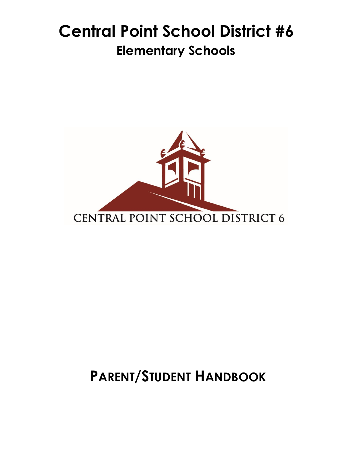# **Central Point School District #6 Elementary Schools**



# **PARENT/STUDENT HANDBOOK**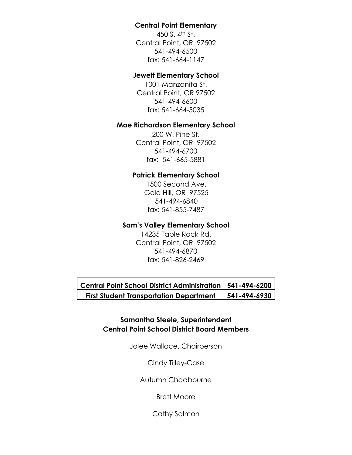## **Central Point Elementary**

450 S. 4th St. Central Point, OR 97502 541-494-6500 fax: 541-664-1147

## **Jewett Elementary School**

1001 Manzanita St. Central Point, OR 97502 541-494-6600 fax: 541-664-5035

#### **Mae Richardson Elementary School**

200 W. Pine St. Central Point, OR 97502 541-494-6700 fax: 541-665-5881

## **Patrick Elementary School**

1500 Second Ave. Gold Hill, OR 97525 541-494-6840 fax: 541-855-7487

## **Sam's Valley Elementary School**

14235 Table Rock Rd. Central Point, OR 97502 541-494-6870 fax: 541-826-2469

**Central Point School District Administration 541-494-6200 First Student Transportation Department 541-494-6930**

## **Samantha Steele, Superintendent Central Point School District Board Members**

Jolee Wallace, Chairperson

#### Cindy Tilley-Case

Autumn Chadbourne

Brett Moore

Cathy Salmon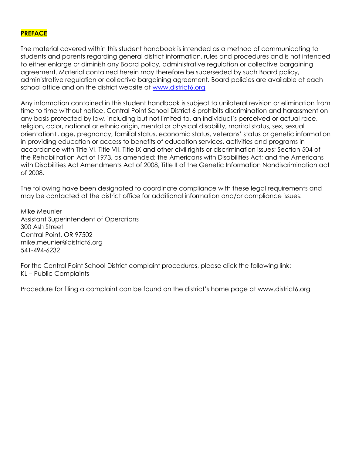## **PREFACE**

The material covered within this student handbook is intended as a method of communicating to students and parents regarding general district information, rules and procedures and is not intended to either enlarge or diminish any Board policy, administrative regulation or collective bargaining agreement. Material contained herein may therefore be superseded by such Board policy, administrative regulation or collective bargaining agreement. Board policies are available at each school office and on the district website at [www.district6.org](http://www.district6.org/)

Any information contained in this student handbook is subject to unilateral revision or elimination from time to time without notice. Central Point School District 6 prohibits discrimination and harassment on any basis protected by law, including but not limited to, an individual's perceived or actual race, religion, color, national or ethnic origin, mental or physical disability, marital status, sex, sexual orientation1, age, pregnancy, familial status, economic status, veterans' status or genetic information in providing education or access to benefits of education services, activities and programs in accordance with Title VI, Title VII, Title IX and other civil rights or discrimination issues; Section 504 of the Rehabilitation Act of 1973, as amended; the Americans with Disabilities Act; and the Americans with Disabilities Act Amendments Act of 2008, Title II of the Genetic Information Nondiscrimination act of 2008.

The following have been designated to coordinate compliance with these legal requirements and may be contacted at the district office for additional information and/or compliance issues:

Mike Meunier Assistant Superintendent of Operations 300 Ash Street Central Point, OR 97502 mike.meunier@district6.org 541-494-6232

For the Central Point School District complaint procedures, please click the following link: KL – Public Complaints

Procedure for filing a complaint can be found on the district's home page at www.district6.org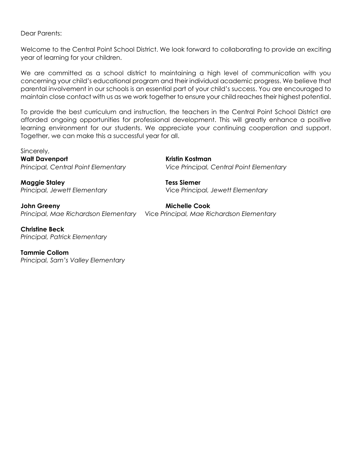Dear Parents:

Welcome to the Central Point School District. We look forward to collaborating to provide an exciting year of learning for your children.

We are committed as a school district to maintaining a high level of communication with you concerning your child's educational program and their individual academic progress. We believe that parental involvement in our schools is an essential part of your child's success. You are encouraged to maintain close contact with us as we work together to ensure your child reaches their highest potential.

To provide the best curriculum and instruction, the teachers in the Central Point School District are afforded ongoing opportunities for professional development. This will greatly enhance a positive learning environment for our students. We appreciate your continuing cooperation and support. Together, we can make this a successful year for all.

Sincerely, **Walt Davenport Kristin Kostman**

*Principal, Central Point Elementary Vice Principal, Central Point Elementary*

**Maggie Staley Tess Siemer** *Principal, Jewett Elementary* Vice *Principal, Jewett Elementary*

**John Greeny Michelle Cook** *Principal, Mae Richardson Elementary* Vice *Principal, Mae Richardson Elementary*

**Christine Beck**  *Principal, Patrick Elementary*

**Tammie Collom** *Principal, Sam's Valley Elementary*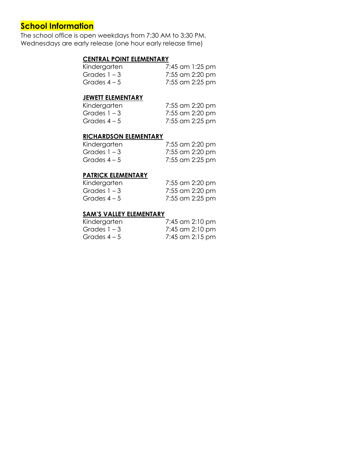# **School Information**

The school office is open weekdays from 7:30 AM to 3:30 PM. Wednesdays are early release (one hour early release time)

## **CENTRAL POINT ELEMENTARY**

| Kindergarten   | 7:45 am 1:25 pm |
|----------------|-----------------|
| Grades $1 - 3$ | 7:55 am 2:20 pm |
| Grades $4-5$   | 7:55 am 2:25 pm |

#### **JEWETT ELEMENTARY**

| Kindergarten   | 7:55 am 2:20 pm |
|----------------|-----------------|
| Grades $1 - 3$ | 7:55 am 2:20 pm |
| Grades $4-5$   | 7:55 am 2:25 pm |

#### **RICHARDSON ELEMENTARY**

| Kindergarten   | 7:55 am 2:20 pm |
|----------------|-----------------|
| Grades $1 - 3$ | 7:55 am 2:20 pm |
| Grades $4-5$   | 7:55 am 2:25 pm |

## **PATRICK ELEMENTARY**

| Kindergarten   | 7:55 am 2:20 pm |
|----------------|-----------------|
| Grades $1 - 3$ | 7:55 am 2:20 pm |
| Grades $4-5$   | 7:55 am 2:25 pm |

#### **SAM'S VALLEY ELEMENTARY**

| Kindergarten   | 7:45 am 2:10 pm |
|----------------|-----------------|
| Grades $1 - 3$ | 7:45 am 2:10 pm |
| Grades $4-5$   | 7:45 am 2:15 pm |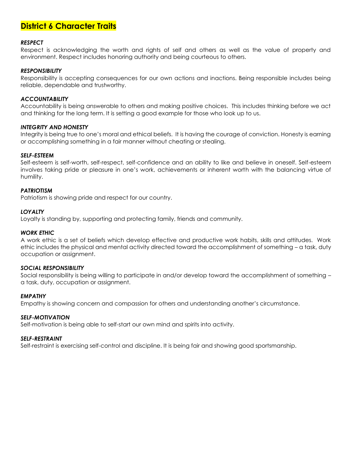# **District 6 Character Traits**

#### *RESPECT*

Respect is acknowledging the worth and rights of self and others as well as the value of property and environment. Respect includes honoring authority and being courteous to others.

#### *RESPONSIBILITY*

Responsibility is accepting consequences for our own actions and inactions. Being responsible includes being reliable, dependable and trustworthy.

#### *ACCOUNTABILITY*

Accountability is being answerable to others and making positive choices. This includes thinking before we act and thinking for the long term. It is setting a good example for those who look up to us.

#### *INTEGRITY AND HONESTY*

Integrity is being true to one's moral and ethical beliefs. It is having the courage of conviction. Honesty is earning or accomplishing something in a fair manner without cheating or stealing.

#### *SELF-ESTEEM*

Self-esteem is self-worth, self-respect, self-confidence and an ability to like and believe in oneself. Self-esteem involves taking pride or pleasure in one's work, achievements or inherent worth with the balancing virtue of humility.

#### *PATRIOTISM*

Patriotism is showing pride and respect for our country.

#### *LOYALTY*

Loyalty is standing by, supporting and protecting family, friends and community.

#### *WORK ETHIC*

A work ethic is a set of beliefs which develop effective and productive work habits, skills and attitudes. Work ethic includes the physical and mental activity directed toward the accomplishment of something – a task, duty occupation or assignment.

#### *SOCIAL RESPONSIBILITY*

Social responsibility is being willing to participate in and/or develop toward the accomplishment of something – a task, duty, occupation or assignment.

#### *EMPATHY*

Empathy is showing concern and compassion for others and understanding another's circumstance.

#### *SELF-MOTIVATION*

Self-motivation is being able to self-start our own mind and spirits into activity.

#### *SELF-RESTRAINT*

Self-restraint is exercising self-control and discipline. It is being fair and showing good sportsmanship.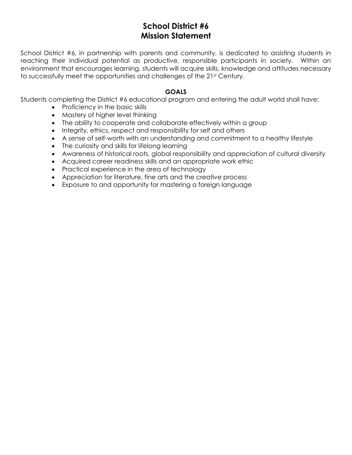# **School District #6 Mission Statement**

School District #6, in partnership with parents and community, is dedicated to assisting students in reaching their individual potential as productive, responsible participants in society. Within an environment that encourages learning, students will acquire skills, knowledge and attitudes necessary to successfully meet the opportunities and challenges of the 21<sup>st</sup> Century.

## **GOALS**

Students completing the District #6 educational program and entering the adult world shall have:

- Proficiency in the basic skills
- Mastery of higher level thinking
- The ability to cooperate and collaborate effectively within a group
- Integrity, ethics, respect and responsibility for self and others
- A sense of self-worth with an understanding and commitment to a healthy lifestyle
- The curiosity and skills for lifelong learning
- Awareness of historical roots, global responsibility and appreciation of cultural diversity
- Acquired career readiness skills and an appropriate work ethic
- Practical experience in the area of technology
- Appreciation for literature, fine arts and the creative process
- Exposure to and opportunity for mastering a foreign language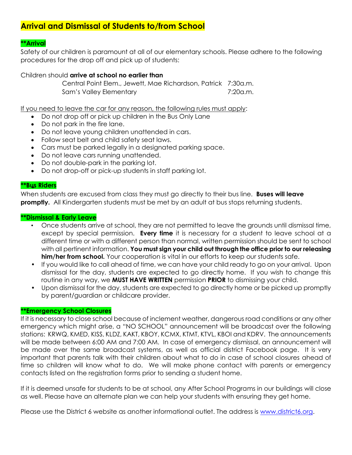# **Arrival and Dismissal of Students to/from School**

## **\*\*Arrival**

Safety of our children is paramount at all of our elementary schools. Please adhere to the following procedures for the drop off and pick up of students:

#### Children should **arrive at school no earlier than**

Central Point Elem., Jewett, Mae Richardson, Patrick 7:30a.m. Sam's Valley Elementary **7:20a.m.** 

If you need to leave the car for any reason, the following rules must apply:

- Do not drop off or pick up children in the Bus Only Lane
- Do not park in the fire lane.
- Do not leave young children unattended in cars.
- Follow seat belt and child safety seat laws.
- Cars must be parked legally in a designated parking space.
- Do not leave cars running unattended.
- Do not double-park in the parking lot.
- Do not drop-off or pick-up students in staff parking lot.

#### **\*\*Bus Riders** •

When students are excused from class they must go directly to their bus line. **Buses will leave promptly.** All Kindergarten students must be met by an adult at bus stops returning students.

#### **\*\*Dismissal & Early Leave**

- Once students arrive at school, they are not permitted to leave the grounds until dismissal time, except by special permission. **Every time** it is necessary for a student to leave school at a different time or with a different person than normal, written permission should be sent to school with all pertinent information. **You must sign your child out through the office prior to our releasing him/her from school.** Your cooperation is vital in our efforts to keep our students safe.
- If you would like to call ahead of time, we can have your child ready to go on your arrival. Upon dismissal for the day, students are expected to go directly home. If you wish to change this routine in any way, we **MUST HAVE WRITTEN** permission **PRIOR** to dismissing your child.
- Upon dismissal for the day, students are expected to go directly home or be picked up promptly by parent/guardian or childcare provider.

#### **\*\*Emergency School Closures**

If it is necessary to close school because of inclement weather, dangerous road conditions or any other emergency which might arise, a "NO SCHOOL" announcement will be broadcast over the following stations: KRWQ, KMED, KISS, KLDZ, KAKT, KBOY, KCMX, KTMT, KTVL, KBOI and KDRV. The announcements will be made between 6:00 AM and 7:00 AM. In case of emergency dismissal, an announcement will be made over the same broadcast systems, as well as official district Facebook page. It is very important that parents talk with their children about what to do in case of school closures ahead of time so children will know what to do. We will make phone contact with parents or emergency contacts listed on the registration forms prior to sending a student home.

If it is deemed unsafe for students to be at school, any After School Programs in our buildings will close as well. Please have an alternate plan we can help your students with ensuring they get home.

Please use the District 6 website as another informational outlet. The address is [www.district6.org.](http://www.district6.org/)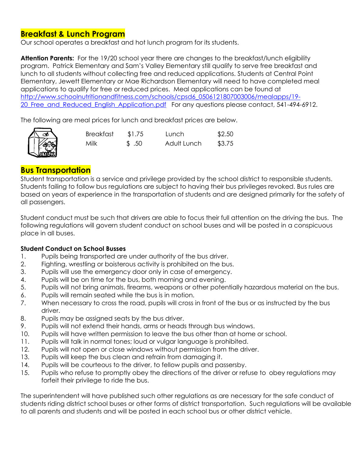# **Breakfast & Lunch Program**

Our school operates a breakfast and hot lunch program for its students.

Attention Parents: For the 19/20 school year there are changes to the breakfast/lunch eligibility program. Patrick Elementary and Sam's Valley Elementary still qualify to serve free breakfast and lunch to all students without collecting free and reduced applications. Students at Central Point Elementary, Jewett Elementary or Mae Richardson Elementary will need to have completed meal applications to qualify for free or reduced prices. Meal applications can be found at [http://www.schoolnutritionandfitness.com/schools/cpsd6\\_0506121807003006/mealapps/19-](http://www.schoolnutritionandfitness.com/schools/cpsd6_0506121807003006/mealapps/19-20_Free_and_Reduced_English_Application.pdf) 20 Free and Reduced English Application.pdf For any questions please contact, 541-494-6912.

The following are meal prices for lunch and breakfast prices are below.



| <b>Breakfast</b> | \$1.75          | Lunch       | \$2.50 |
|------------------|-----------------|-------------|--------|
| Milk             | $\text{\$}$ .50 | Adult Lunch | \$3.75 |

# **Bus Transportation**

Student transportation is a service and privilege provided by the school district to responsible students. Students failing to follow bus regulations are subject to having their bus privileges revoked. Bus rules are based on years of experience in the transportation of students and are designed primarily for the safety of all passengers.

Student conduct must be such that drivers are able to focus their full attention on the driving the bus. The following regulations will govern student conduct on school buses and will be posted in a conspicuous place in all buses.

## **Student Conduct on School Busses**

- 1. Pupils being transported are under authority of the bus driver.
- 2. Fighting, wrestling or boisterous activity is prohibited on the bus.
- 3. Pupils will use the emergency door only in case of emergency.
- 4. Pupils will be on time for the bus, both morning and evening.
- 5. Pupils will not bring animals, firearms, weapons or other potentially hazardous material on the bus.
- 6. Pupils will remain seated while the bus is in motion.
- 7. When necessary to cross the road, pupils will cross in front of the bus or as instructed by the bus driver.
- 8. Pupils may be assigned seats by the bus driver.
- 9. Pupils will not extend their hands, arms or heads through bus windows.
- 10. Pupils will have written permission to leave the bus other than at home or school.
- 11. Pupils will talk in normal tones; loud or vulgar language is prohibited.
- 12. Pupils will not open or close windows without permission from the driver.
- 13. Pupils will keep the bus clean and refrain from damaging it.
- 14. Pupils will be courteous to the driver, to fellow pupils and passersby.
- 15. Pupils who refuse to promptly obey the directions of the driver or refuse to obey regulations may forfeit their privilege to ride the bus.

The superintendent will have published such other regulations as are necessary for the safe conduct of students riding district school buses or other forms of district transportation. Such regulations will be available to all parents and students and will be posted in each school bus or other district vehicle.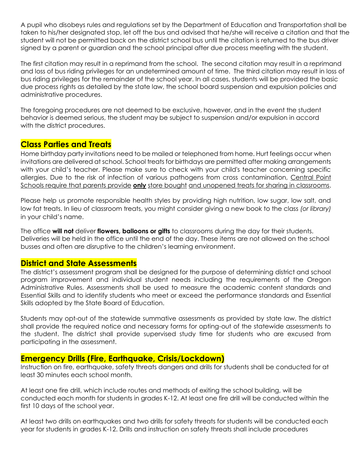A pupil who disobeys rules and regulations set by the Department of Education and Transportation shall be taken to his/her designated stop, let off the bus and advised that he/she will receive a citation and that the student will not be permitted back on the district school bus until the citation is returned to the bus driver signed by a parent or guardian and the school principal after due process meeting with the student.

The first citation may result in a reprimand from the school. The second citation may result in a reprimand and loss of bus riding privileges for an undetermined amount of time. The third citation may result in loss of bus riding privileges for the remainder of the school year. In all cases, students will be provided the basic due process rights as detailed by the state law, the school board suspension and expulsion policies and administrative procedures.

The foregoing procedures are not deemed to be exclusive, however, and in the event the student behavior is deemed serious, the student may be subject to suspension and/or expulsion in accord with the district procedures.

# **Class Parties and Treats**

Home birthday party invitations need to be mailed or telephoned from home. Hurt feelings occur when invitations are delivered at school. School treats for birthdays are permitted after making arrangements with your child's teacher. Please make sure to check with your child's teacher concerning specific allergies. Due to the risk of infection of various pathogens from cross contamination, Central Point Schools require that parents provide **only** store bought and unopened treats for sharing in classrooms.

Please help us promote responsible health styles by providing high nutrition, low sugar, low salt, and low fat treats. In lieu of classroom treats, you might consider giving a new book to the class *(or library)* in your child's name.

The office **will not** deliver **flowers, balloons or gifts** to classrooms during the day for their students. Deliveries will be held in the office until the end of the day. These items are not allowed on the school busses and often are disruptive to the children's learning environment.

# **District and State Assessments**

The district's assessment program shall be designed for the purpose of determining district and school program improvement and individual student needs including the requirements of the Oregon Administrative Rules. Assessments shall be used to measure the academic content standards and Essential Skills and to identify students who meet or exceed the performance standards and Essential Skills adopted by the State Board of Education.

Students may opt-out of the statewide summative assessments as provided by state law. The district shall provide the required notice and necessary forms for opting-out of the statewide assessments to the student. The district shall provide supervised study time for students who are excused from participating in the assessment.

## **Emergency Drills (Fire, Earthquake, Crisis/Lockdown)**

Instruction on fire, earthquake, safety threats dangers and drills for students shall be conducted for at least 30 minutes each school month.

At least one fire drill, which include routes and methods of exiting the school building, will be conducted each month for students in grades K-12. At least one fire drill will be conducted within the first 10 days of the school year.

At least two drills on earthquakes and two drills for safety threats for students will be conducted each year for students in grades K-12. Drills and instruction on safety threats shall include procedures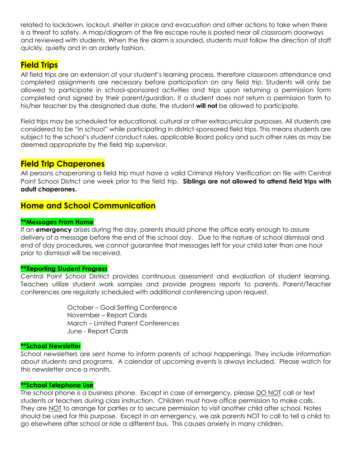related to lockdown, lockout, shelter in place and evacuation and other actions to take when there is a threat to safety. A map/diagram of the fire escape route is posted near all classroom doorways and reviewed with students. When the fire alarm is sounded, students must follow the direction of staff quickly, quietly and in an orderly fashion.

# **Field Trips**

All field trips are an extension of your student's learning process, therefore classroom attendance and completed assignments are necessary before participation on any field trip. Students will only be allowed to participate in school-sponsored activities and trips upon returning a permission form completed and signed by their parent/guardian. If a student does not return a permission form to his/her teacher by the designated due date, the student **will not** be allowed to participate.

Field trips may be scheduled for educational, cultural or other extracurricular purposes. All students are considered to be "in school" while participating in district-sponsored field trips. This means students are subject to the school's student conduct rules, applicable Board policy and such other rules as may be deemed appropriate by the field trip supervisor.

# **Field Trip Chaperones**

All persons chaperoning a field trip must have a valid Criminal History Verification on file with Central Point School District one week prior to the field trip. **Siblings are not allowed to attend field trips with adult chaperones.**

# **Home and School Communication**

## **\*\*Messages From Home**

If an **emergency** arises during the day, parents should phone the office early enough to assure delivery of a message before the end of the school day. Due to the nature of school dismissal and end of day procedures, we cannot guarantee that messages left for your child later than one hour prior to dismissal will be received.

#### **\*\*Reporting Student Progress**

Central Point School District provides continuous assessment and evaluation of student learning. Teachers utilize student work samples and provide progress reports to parents. Parent/Teacher conferences are regularly scheduled with additional conferencing upon request.

> October – Goal Setting Conference November – Report Cards March – Limited Parent Conferences June - Report Cards

#### **\*\*School Newsletter**

School newsletters are sent home to inform parents of school happenings. They include information about students and programs. A calendar of upcoming events is always included. Please watch for this newsletter once a month.

#### **\*\*School Telephone Use**

The school phone is a business phone. Except in case of emergency, please DO NOT call or text students or teachers during class instruction. Children must have office permission to make calls. They are NOT to arrange for parties or to secure permission to visit another child after school. Notes should be used for this purpose. Except in an emergency, we ask parents NOT to call to tell a child to go elsewhere after school or ride a different bus. This causes anxiety in many children.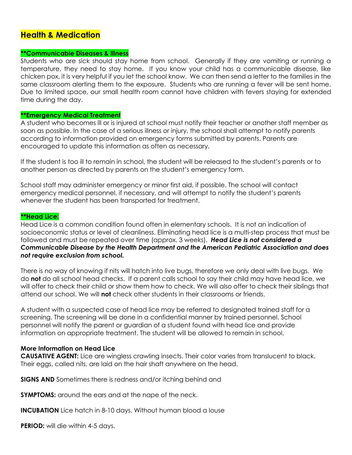# **Health & Medication**

#### **\*\*Communicable Diseases & Illness**

Students who are sick should stay home from school. Generally if they are vomiting or running a temperature, they need to stay home. If you know your child has a communicable disease, like chicken pox, it is very helpful if you let the school know. We can then send a letter to the families in the same classroom alerting them to the exposure. Students who are running a fever will be sent home. Due to limited space, our small health room cannot have children with fevers staying for extended time during the day.

#### **\*\*Emergency Medical Treatment**

A student who becomes ill or is injured at school must notify their teacher or another staff member as soon as possible. In the case of a serious illness or injury, the school shall attempt to notify parents according to information provided on emergency forms submitted by parents. Parents are encouraged to update this information as often as necessary.

If the student is too ill to remain in school, the student will be released to the student's parents or to another person as directed by parents on the student's emergency form.

School staff may administer emergency or minor first aid, if possible. The school will contact emergency medical personnel, if necessary, and will attempt to notify the student's parents whenever the student has been transported for treatment.

#### **\*\*Head Lice:**

Head Lice is a common condition found often in elementary schools. It is not an indication of socioeconomic status or level of cleanliness. Eliminating head lice is a multi-step process that must be followed and must be repeated over time (approx. 3 weeks). *Head Lice is not considered a Communicable Disease by the Health Department and the American Pediatric Association and does not require exclusion from school.* 

There is no way of knowing if nits will hatch into live bugs, therefore we only deal with live bugs. We do **not** do all school head checks. If a parent calls school to say their child may have head lice, we will offer to check their child or show them how to check. We will also offer to check their siblings that attend our school. We will **not** check other students in their classrooms or friends.

A student with a suspected case of head lice may be referred to designated trained staff for a screening. The screening will be done in a confidential manner by trained personnel. School personnel will notify the parent or guardian of a student found with head lice and provide information on appropriate treatment. The student will be allowed to remain in school.

#### **More Information on Head Lice**

**CAUSATIVE AGENT:** Lice are wingless crawling insects. Their color varies from translucent to black. Their eggs, called nits, are laid on the hair shaft anywhere on the head.

**SIGNS AND** Sometimes there is redness and/or itching behind and

**SYMPTOMS:** around the ears and at the nape of the neck.

**INCUBATION** Lice hatch in 8-10 days. Without human blood a louse

**PERIOD:** will die within 4-5 days.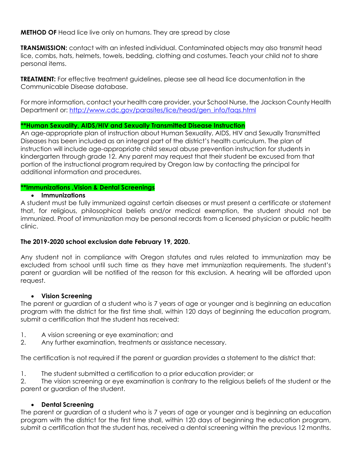## **METHOD OF** Head lice live only on humans. They are spread by close

**TRANSMISSION:** contact with an infested individual. Contaminated objects may also transmit head lice, combs, hats, helmets, towels, bedding, clothing and costumes. Teach your child not to share personal items.

**TREATMENT:** For effective treatment guidelines, please see all head lice documentation in the Communicable Disease database.

For more information, contact your health care provider, your School Nurse, the Jackson County Health Department or: [http://www.cdc.gov/parasites/lice/head/gen\\_info/faqs.html](http://www.cdc.gov/parasites/lice/head/gen_info/faqs.html)

## **\*\*Human Sexuality, AIDS/HIV and Sexually Transmitted Disease Instruction**

An age-appropriate plan of instruction about Human Sexuality, AIDS, HIV and Sexually Transmitted Diseases has been included as an integral part of the district's health curriculum. The plan of instruction will include age-appropriate child sexual abuse prevention instruction for students in kindergarten through grade 12. Any parent may request that their student be excused from that portion of the instructional program required by Oregon law by contacting the principal for additional information and procedures.

## **\*\*Immunizations ,Vision & Dental Screenings**

## **Immunizations**

A student must be fully immunized against certain diseases or must present a certificate or statement that, for religious, philosophical beliefs and/or medical exemption, the student should not be immunized. Proof of immunization may be personal records from a licensed physician or public health clinic.

## **The 2019-2020 school exclusion date February 19, 2020.**

Any student not in compliance with Oregon statutes and rules related to immunization may be excluded from school until such time as they have met immunization requirements. The student's parent or guardian will be notified of the reason for this exclusion. A hearing will be afforded upon request.

## **Vision Screening**

The parent or guardian of a student who is 7 years of age or younger and is beginning an education program with the district for the first time shall, within 120 days of beginning the education program, submit a certification that the student has received:

- 1. A vision screening or eye examination; and
- 2. Any further examination, treatments or assistance necessary.

The certification is not required if the parent or guardian provides a statement to the district that:

1. The student submitted a certification to a prior education provider; or

2. The vision screening or eye examination is contrary to the religious beliefs of the student or the parent or guardian of the student.

## **Dental Screening**

The parent or guardian of a student who is 7 years of age or younger and is beginning an education program with the district for the first time shall, within 120 days of beginning the education program, submit a certification that the student has, received a dental screening within the previous 12 months.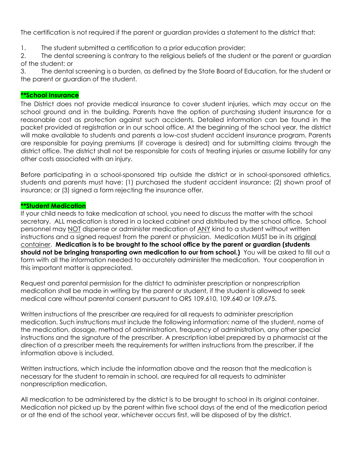The certification is not required if the parent or guardian provides a statement to the district that:

1. The student submitted a certification to a prior education provider;

2. The dental screening is contrary to the religious beliefs of the student or the parent or guardian of the student; or

3. The dental screening is a burden, as defined by the State Board of Education, for the student or the parent or guardian of the student.

#### **\*\*School Insurance**

The District does not provide medical insurance to cover student injuries, which may occur on the school ground and in the building. Parents have the option of purchasing student insurance for a reasonable cost as protection against such accidents. Detailed information can be found in the packet provided at registration or in our school office. At the beginning of the school year, the district will make available to students and parents a low-cost student accident insurance program. Parents are responsible for paying premiums (if coverage is desired) and for submitting claims through the district office. The district shall not be responsible for costs of treating injuries or assume liability for any other costs associated with an injury.

Before participating in a school-sponsored trip outside the district or in school-sponsored athletics, students and parents must have: (1) purchased the student accident insurance; (2) shown proof of insurance; or (3) signed a form rejecting the insurance offer.

#### **\*\*Student Medication**

If your child needs to take medication at school, you need to discuss the matter with the school secretary. ALL medication is stored in a locked cabinet and distributed by the school office. School personnel may NOT dispense or administer medication of ANY kind to a student without written instructions and a signed request from the parent or physician. Medication MUST be in its original container. **Medication is to be brought to the school office by the parent or guardian (students should not be bringing transporting own medication to our from school.)** You will be asked to fill out a form with all the information needed to accurately administer the medication. Your cooperation in this important matter is appreciated.

Request and parental permission for the district to administer prescription or nonprescription medication shall be made in writing by the parent or student, if the student is allowed to seek medical care without parental consent pursuant to ORS 109.610, 109.640 or 109.675.

Written instructions of the prescriber are required for all requests to administer prescription medication. Such instructions must include the following information: name of the student, name of the medication, dosage, method of administration, frequency of administration, any other special instructions and the signature of the prescriber. A prescription label prepared by a pharmacist at the direction of a prescriber meets the requirements for written instructions from the prescriber, if the information above is included.

Written instructions, which include the information above and the reason that the medication is necessary for the student to remain in school, are required for all requests to administer nonprescription medication.

All medication to be administered by the district is to be brought to school in its original container. Medication not picked up by the parent within five school days of the end of the medication period or at the end of the school year, whichever occurs first, will be disposed of by the district.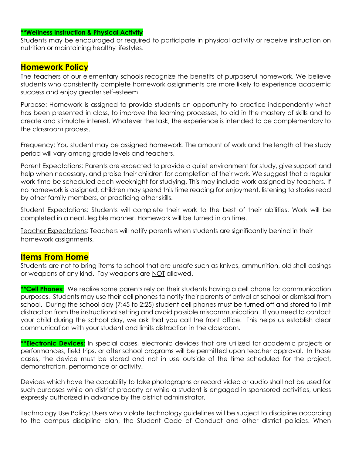#### **\*\*Wellness Instruction & Physical Activity**

Students may be encouraged or required to participate in physical activity or receive instruction on nutrition or maintaining healthy lifestyles.

# **Homework Policy**

The teachers of our elementary schools recognize the benefits of purposeful homework. We believe students who consistently complete homework assignments are more likely to experience academic success and enjoy greater self-esteem.

Purpose: Homework is assigned to provide students an opportunity to practice independently what has been presented in class, to improve the learning processes, to aid in the mastery of skills and to create and stimulate interest. Whatever the task, the experience is intended to be complementary to the classroom process.

Frequency: You student may be assigned homework. The amount of work and the length of the study period will vary among grade levels and teachers.

Parent Expectations: Parents are expected to provide a quiet environment for study, give support and help when necessary, and praise their children for completion of their work. We suggest that a regular work time be scheduled each weeknight for studying. This may include work assigned by teachers. If no homework is assigned, children may spend this time reading for enjoyment, listening to stories read by other family members, or practicing other skills.

Student Expectations: Students will complete their work to the best of their abilities. Work will be completed in a neat, legible manner. Homework will be turned in on time.

Teacher Expectations: Teachers will notify parents when students are significantly behind in their homework assignments.

## **Items From Home**

Students are not to bring items to school that are unsafe such as knives, ammunition, old shell casings or weapons of any kind. Toy weapons are NOT allowed.

**\*\*Cell Phones:** We realize some parents rely on their students having a cell phone for communication purposes. Students may use their cell phones to notify their parents of arrival at school or dismissal from school. During the school day (7:45 to 2:25) student cell phones must be turned off and stored to limit distraction from the instructional setting and avoid possible miscommunication. If you need to contact your child during the school day, we ask that you call the front office. This helps us establish clear communication with your student and limits distraction in the classroom.

**\*\*Electronic Devices:** In special cases, electronic devices that are utilized for academic projects or performances, field trips, or after school programs will be permitted upon teacher approval. In those cases, the device must be stored and not in use outside of the time scheduled for the project, demonstration, performance or activity.

Devices which have the capability to take photographs or record video or audio shall not be used for such purposes while on district property or while a student is engaged in sponsored activities, unless expressly authorized in advance by the district administrator.

Technology Use Policy: Users who violate technology guidelines will be subject to discipline according to the campus discipline plan, the Student Code of Conduct and other district policies. When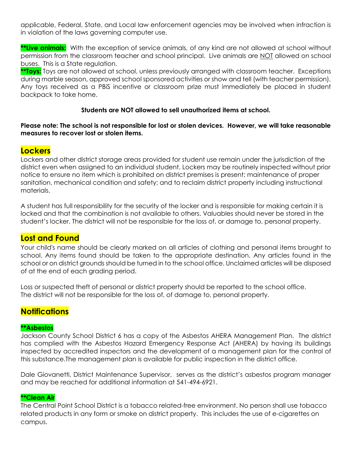applicable, Federal, State, and Local law enforcement agencies may be involved when infraction is in violation of the laws governing computer use.

**\*\*Live animals:** With the exception of service animals, of any kind are not allowed at school without permission from the classroom teacher and school principal. Live animals are NOT allowed on school buses. This is a State regulation.

**\*\*Toys:** Toys are not allowed at school, unless previously arranged with classroom teacher. Exceptions during marble season, approved school sponsored activities or show and tell (with teacher permission). Any toys received as a PBiS incentive or classroom prize must immediately be placed in student backpack to take home.

## **Students are NOT allowed to sell unauthorized items at school.**

## **Please note: The school is not responsible for lost or stolen devices. However, we will take reasonable measures to recover lost or stolen items.**

# **Lockers**

Lockers and other district storage areas provided for student use remain under the jurisdiction of the district even when assigned to an individual student. Lockers may be routinely inspected without prior notice to ensure no item which is prohibited on district premises is present; maintenance of proper sanitation, mechanical condition and safety; and to reclaim district property including instructional materials.

A student has full responsibility for the security of the locker and is responsible for making certain it is locked and that the combination is not available to others. Valuables should never be stored in the student's locker. The district will not be responsible for the loss of, or damage to, personal property.

# **Lost and Found**

Your child's name should be clearly marked on all articles of clothing and personal items brought to school. Any items found should be taken to the appropriate destination. Any articles found in the school or on district grounds should be turned in to the school office. Unclaimed articles will be disposed of at the end of each grading period.

Loss or suspected theft of personal or district property should be reported to the school office. The district will not be responsible for the loss of, of damage to, personal property.

# **Notifications**

## **\*\*Asbestos**

Jackson County School District 6 has a copy of the Asbestos AHERA Management Plan. The district has complied with the Asbestos Hazard Emergency Response Act (AHERA) by having its buildings inspected by accredited inspectors and the development of a management plan for the control of this substance.The management plan is available for public inspection in the district office.

Dale Giovanetti, District Maintenance Supervisor, serves as the district's asbestos program manager and may be reached for additional information at 541-494-6921.

#### **\*\*Clean Air**

The Central Point School District is a tobacco related-free environment. No person shall use tobacco related products in any form or smoke on district property. This includes the use of e-cigarettes on campus.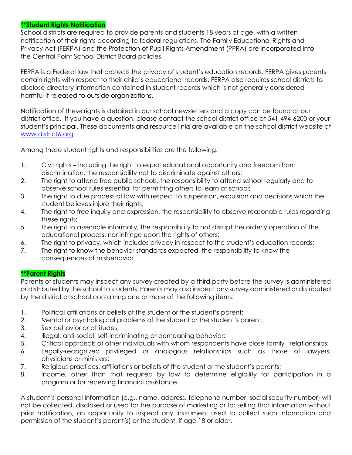## **\*\*Student Rights Notification**

School districts are required to provide parents and students 18 years of age, with a written notification of their rights according to federal regulations. The Family Educational Rights and Privacy Act (FERPA) and the Protection of Pupil Rights Amendment (PPRA) are incorporated into the Central Point School District Board policies.

FERPA is a Federal law that protects the privacy of student's education records. FERPA gives parents certain rights with respect to their child's educational records. FERPA also requires school districts to disclose directory information contained in student records which is not generally considered harmful if released to outside organizations.

Notification of these rights is detailed in our school newsletters and a copy can be found at our district office. If you have a question, please contact the school district office at 541-494-6200 or your student's principal. These documents and resource links are available on the school district website at [www.district6.org](http://www.district6.org/)

Among these student rights and responsibilities are the following:

- 1. Civil rights including the right to equal educational opportunity and freedom from discrimination, the responsibility not to discriminate against others;
- 2. The right to attend free public schools, the responsibility to attend school regularly and to observe school rules essential for permitting others to learn at school;
- 3. The right to due process of law with respect to suspension, expulsion and decisions which the student believes injure their rights;
- 4. The right to free inquiry and expression, the responsibility to observe reasonable rules regarding these rights;
- 5. The right to assemble informally, the responsibility to not disrupt the orderly operation of the educational process, nor infringe upon the rights of others;
- 6. The right to privacy, which includes privacy in respect to the student's education records;
- 7. The right to know the behavior standards expected, the responsibility to know the consequences of misbehavior.

## **\*\*Parent Rights**

Parents of students may inspect any survey created by a third party before the survey is administered or distributed by the school to students. Parents may also inspect any survey administered or distributed by the district or school containing one or more of the following items:

- 1. Political affiliations or beliefs of the student or the student's parent;
- 2. Mental or psychological problems of the student or the student's parent;
- 3. Sex behavior or attitudes;
- 4. Illegal, anti-social, self-incriminating or demeaning behavior;
- 5. Critical appraisals of other individuals with whom respondents have close family relationships;
- 6. Legally-recognized privileged or analogous relationships such as those of lawyers, physicians or ministers;
- 7. Religious practices, affiliations or beliefs of the student or the student's parents;
- 8. Income, other than that required by law to determine eligibility for participation in a program or for receiving financial assistance.

A student's personal information (e.g., name, address, telephone number, social security number) will not be collected, disclosed or used for the purpose of marketing or for selling that information without prior notification, an opportunity to inspect any instrument used to collect such information and permission of the student's parent(s) or the student, if age 18 or older.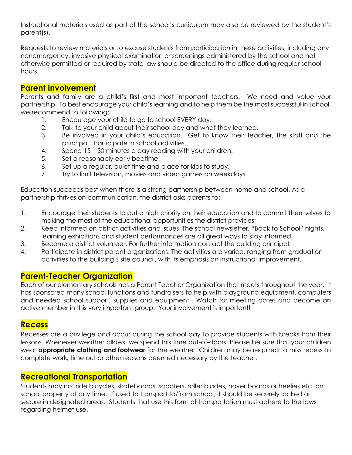Instructional materials used as part of the school's curriculum may also be reviewed by the student's parent(s).

Requests to review materials or to excuse students from participation in these activities, including any nonemergency, invasive physical examination or screenings administered by the school and not otherwise permitted or required by state law should be directed to the office during regular school hours.

# **Parent Involvement**

Parents and family are a child's first and most important teachers. We need and value your partnership. To best encourage your child's learning and to help them be the most successful in school, we recommend to following:

- 1. Encourage your child to go to school EVERY day.
- 2. Talk to your child about their school day and what they learned.
- 3. Be involved in your child's education. Get to know their teacher, the staff and the principal. Participate in school activities.
- 4. Spend 15 30 minutes a day reading with your children.
- 5. Set a reasonably early bedtime.
- 6. Set up a regular, quiet time and place for kids to study.
- 7. Try to limit television, movies and video games on weekdays.

Education succeeds best when there is a strong partnership between home and school. As a partnership thrives on communication, the district asks parents to:

- 1. Encourage their students to put a high priority on their education and to commit themselves to making the most of the educational opportunities the district provides;
- 2. Keep informed on district activities and issues. The school newsletter, "Back to School" nights, learning exhibitions and student performances are all great ways to stay informed.
- 3. Become a district volunteer. For further information contact the building principal.
- 4. Participate in district parent organizations. The activities are varied, ranging from graduation activities to the building's site council, with its emphasis on instructional improvement.

# **Parent-Teacher Organization**

Each of our elementary schools has a Parent Teacher Organization that meets throughout the year. It has sponsored many school functions and fundraisers to help with playground equipment, computers and needed school support, supplies and equipment. Watch for meeting dates and become an active member in this very important group. Your involvement is important!

# **Recess**

Recesses are a privilege and occur during the school day to provide students with breaks from their lessons. Whenever weather allows, we spend this time out-of-doors. Please be sure that your children wear **appropriate clothing and footwear** for the weather. Children may be required to miss recess to complete work*,* time out or other reasons deemed necessary by the teacher.

# **Recreational Transportation**

Students may not ride bicycles, skateboards, scooters, roller blades, hover boards or heelies etc. on school property at any time. If used to transport to/from school, it should be securely locked or secure in designated areas. Students that use this form of transportation must adhere to the laws regarding helmet use.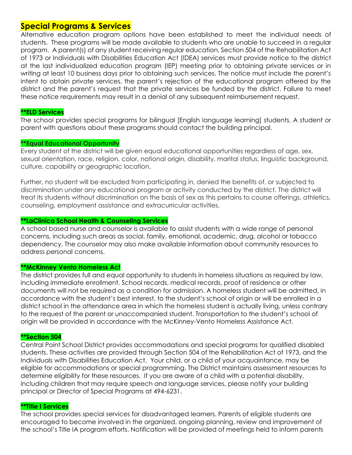# **Special Programs & Services**

Alternative education program options have been established to meet the individual needs of students. These programs will be made available to students who are unable to succeed in a regular program. A parent(s) of any student receiving regular education, Section 504 of the Rehabilitation Act of 1973 or Individuals with Disabilities Education Act (IDEA) services must provide notice to the district at the last individualized education program (IEP) meeting prior to obtaining private services or in writing at least 10 business days prior to obtaining such services. The notice must include the parent's intent to obtain private services, the parent's rejection of the educational program offered by the district and the parent's request that the private services be funded by the district. Failure to meet these notice requirements may result in a denial of any subsequent reimbursement request.

#### **\*\*ELD Services**

The school provides special programs for bilingual [English language learning] students. A student or parent with questions about these programs should contact the building principal.

#### **\*\*Equal Educational Opportunity**

Every student of the district will be given equal educational opportunities regardless of age, sex, sexual orientation, race, religion, color, national origin, disability, marital status, linguistic background, culture, capability or geographic location.

Further, no student will be excluded from participating in, denied the benefits of, or subjected to discrimination under any educational program or activity conducted by the district. The district will treat its students without discrimination on the basis of sex as this pertains to course offerings, athletics, counseling, employment assistance and extracurricular activities.

#### **\*\*LaClinica School Health & Counseling Services**

A school based nurse and counselor is available to assist students with a wide range of personal concerns, including such areas as social, family, emotional, academic, drug, alcohol or tobacco dependency. The counselor may also make available information about community resources to address personal concerns.

#### **\*\*McKinney Vento Homeless Act**

The district provides full and equal opportunity to students in homeless situations as required by law, including immediate enrollment. School records, medical records, proof of residence or other documents will not be required as a condition for admission. A homeless student will be admitted, in accordance with the student's best interest, to the student's school of origin or will be enrolled in a district school in the attendance area in which the homeless student is actually living, unless contrary to the request of the parent or unaccompanied student. Transportation to the student's school of origin will be provided in accordance with the McKinney-Vento Homeless Assistance Act.

#### **\*\*Section 504**

Central Point School District provides accommodations and special programs for qualified disabled students. These activities are provided through Section 504 of the Rehabilitation Act of 1973, and the Individuals with Disabilities Education Act. Your child, or a child of your acquaintance, may be eligible for accommodations or special programming. The District maintains assessment resources to determine eligibility for these resources. If you are aware of a child with a potential disability, including children that may require speech and language services, please notify your building principal or Director of Special Programs at 494-6231.

#### **\*\*Title I Services**

The school provides special services for disadvantaged learners. Parents of eligible students are encouraged to become involved in the organized, ongoing planning, review and improvement of the school's Title IA program efforts. Notification will be provided of meetings held to inform parents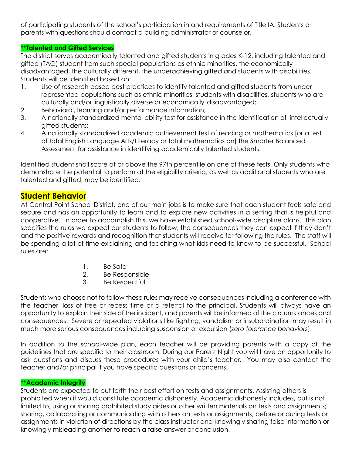of participating students of the school's participation in and requirements of Title IA. Students or parents with questions should contact a building administrator or counselor.

## **\*\*Talented and Gifted Services**

The district serves academically talented and gifted students in grades K-12, including talented and gifted (TAG) student from such special populations as ethnic minorities, the economically disadvantaged, the culturally different, the underachieving gifted and students with disabilities. Students will be identified based on:

- 1. Use of research based best practices to identify talented and gifted students from underrepresented populations such as ethnic minorities, students with disabilities, students who are culturally and/or linguistically diverse or economically disadvantaged;
- 2. Behavioral, learning and/or performance information;
- 3. A nationally standardized mental ability test for assistance in the identification of intellectually gifted students;
- 4. A nationally standardized academic achievement test of reading or mathematics [or a test of total English Language Arts/Literacy or total mathematics on] the Smarter Balanced Assessment for assistance in identifying academically talented students.

Identified student shall score at or above the 97th percentile on one of these tests. Only students who demonstrate the potential to perform at the eligibility criteria, as well as additional students who are talented and gifted, may be identified.

# **Student Behavior**

At Central Point School District, one of our main jobs is to make sure that each student feels safe and secure and has an opportunity to learn and to explore new activities in a setting that is helpful and cooperative. In order to accomplish this, we have established school-wide discipline plans. This plan specifies the rules we expect our students to follow, the consequences they can expect if they don't and the positive rewards and recognition that students will receive for following the rules. The staff will be spending a lot of time explaining and teaching what kids need to know to be successful. School rules are:

- 1. Be Safe
- 2. Be Responsible
- 3. Be Respectful

Students who choose not to follow these rules may receive consequences including a conference with the teacher, loss of free or recess time or a referral to the principal. Students will always have an opportunity to explain their side of the incident, and parents will be informed of the circumstances and consequences. Severe or repeated violations like fighting, vandalism or insubordination may result in much more serious consequences including suspension or expulsion (*zero tolerance behaviors*).

In addition to the school-wide plan, each teacher will be providing parents with a copy of the guidelines that are specific to their classroom. During our Parent Night you will have an opportunity to ask questions and discuss these procedures with your child's teacher. You may also contact the teacher and/or principal if you have specific questions or concerns.

#### **\*\*Academic Integrity**

Students are expected to put forth their best effort on tests and assignments. Assisting others is prohibited when it would constitute academic dishonesty. Academic dishonesty includes, but is not limited to, using or sharing prohibited study aides or other written materials on tests and assignments; sharing, collaborating or communicating with others on tests or assignments, before or during tests or assignments in violation of directions by the class instructor and knowingly sharing false information or knowingly misleading another to reach a false answer or conclusion.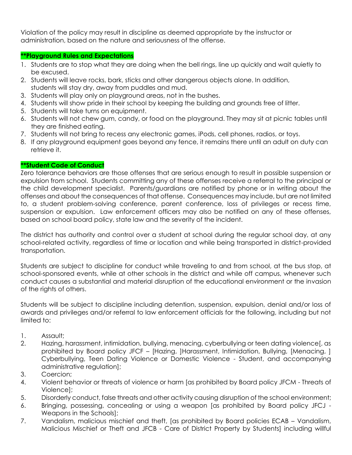Violation of the policy may result in discipline as deemed appropriate by the instructor or administration, based on the nature and seriousness of the offense.

## **\*\*Playground Rules and Expectations**

- 1. Students are to stop what they are doing when the bell rings, line up quickly and wait quietly to be excused.
- 2. Students will leave rocks, bark, sticks and other dangerous objects alone. In addition, students will stay dry, away from puddles and mud.
- 3. Students will play only on playground areas, not in the bushes.
- 4. Students will show pride in their school by keeping the building and grounds free of litter.
- 5. Students will take turns on equipment.
- 6. Students will not chew gum, candy, or food on the playground. They may sit at picnic tables until they are finished eating.
- 7. Students will not bring to recess any electronic games, iPods, cell phones, radios, or toys.
- 8. If any playground equipment goes beyond any fence, it remains there until an adult on duty can retrieve it.

## **\*\*Student Code of Conduct**

Zero tolerance behaviors are those offenses that are serious enough to result in possible suspension or expulsion from school. Students committing any of these offenses receive a referral to the principal or the child development specialist. Parents/guardians are notified by phone or in writing about the offenses and about the consequences of that offense. Consequences may include, but are not limited to, a student problem-solving conference, parent conference, loss of privileges or recess time, suspension or expulsion. Law enforcement officers may also be notified on any of these offenses, based on school board policy, state law and the severity of the incident.

The district has authority and control over a student at school during the regular school day, at any school-related activity, regardless of time or location and while being transported in district-provided transportation.

Students are subject to discipline for conduct while traveling to and from school, at the bus stop, at school-sponsored events, while at other schools in the district and while off campus, whenever such conduct causes a substantial and material disruption of the educational environment or the invasion of the rights of others.

Students will be subject to discipline including detention, suspension, expulsion, denial and/or loss of awards and privileges and/or referral to law enforcement officials for the following, including but not limited to:

- 1. Assault;
- 2. Hazing, harassment, intimidation, bullying, menacing, cyberbullying or teen dating violence[, as prohibited by Board policy JFCF – [Hazing, ]Harassment, Intimidation, Bullying, [Menacing, ] Cyberbullying, Teen Dating Violence or Domestic Violence - Student, and accompanying administrative regulation];
- 3. Coercion;
- 4. Violent behavior or threats of violence or harm [as prohibited by Board policy JFCM Threats of Violence];
- 5. Disorderly conduct, false threats and other activity causing disruption of the school environment;
- 6. Bringing, possessing, concealing or using a weapon [as prohibited by Board policy JFCJ Weapons in the Schools];
- 7. Vandalism, malicious mischief and theft, [as prohibited by Board policies ECAB Vandalism, Malicious Mischief or Theft and JFCB - Care of District Property by Students] including willful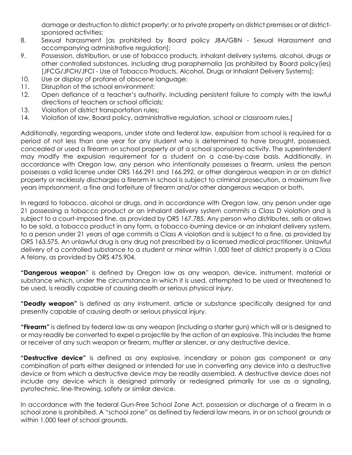damage or destruction to district property; or to private property on district premises or at districtsponsored activities;

- 8. Sexual harassment [as prohibited by Board policy JBA/GBN Sexual Harassment and accompanying administrative regulation];
- 9. Possession, distribution, or use of tobacco products, inhalant delivery systems, alcohol, drugs or other controlled substances, including drug paraphernalia [as prohibited by Board policy(ies) [JFCG/JFCH/JFCI - Use of Tobacco Products, Alcohol, Drugs or Inhalant Delivery Systems];
- 10. Use or display of profane of obscene language;
- 11. Disruption of the school environment;
- 12. Open defiance of a teacher's authority, including persistent failure to comply with the lawful directions of teachers or school officials;
- 13. Violation of district transportation rules;
- 14. Violation of law, Board policy, administrative regulation, school or classroom rules.]

Additionally, regarding weapons, under state and federal law, expulsion from school is required for a period of not less than one year for any student who is determined to have brought, possessed, concealed or used a firearm on school property or at a school sponsored activity. The superintendent may modify the expulsion requirement for a student on a case-by-case basis. Additionally, in accordance with Oregon law, any person who intentionally possesses a firearm, unless the person possesses a valid license under ORS 166.291 and 166.292, or other dangerous weapon in or on district property or recklessly discharges a firearm in school is subject to criminal prosecution, a maximum five years imprisonment, a fine and forfeiture of firearm and/or other dangerous weapon or both.

In regard to tobacco, alcohol or drugs, and in accordance with Oregon law, any person under age 21 possessing a tobacco product or an inhalant delivery system commits a Class D violation and is subject to a court-imposed fine, as provided by ORS 167.785. Any person who distributes, sells or allows to be sold, a tobacco product in any form, a tobacco-burning device or an inhalant delivery system, to a person under 21 years of age commits a Class A violation and is subject to a fine, as provided by ORS 163.575. An unlawful drug is any drug not prescribed by a licensed medical practitioner. Unlawful delivery of a controlled substance to a student or minor within 1,000 feet of district property is a Class A felony, as provided by ORS 475.904.

**"Dangerous weapon**" is defined by Oregon law as any weapon, device, instrument, material or substance which, under the circumstance in which it is used, attempted to be used or threatened to be used, is readily capable of causing death or serious physical injury.

**"Deadly weapon"** is defined as any instrument, article or substance specifically designed for and presently capable of causing death or serious physical injury.

**"Firearm"** is defined by federal law as any weapon (including a starter gun) which will or is designed to or may readily be converted to expel a projectile by the action of an explosive. This includes the frame or receiver of any such weapon or firearm, muffler or silencer, or any destructive device.

**"Destructive device"** is defined as any explosive, incendiary or poison gas component or any combination of parts either designed or intended for use in converting any device into a destructive device or from which a destructive device may be readily assembled. A destructive device does not include any device which is designed primarily or redesigned primarily for use as a signaling, pyrotechnic, line-throwing, safety or similar device.

In accordance with the federal Gun-Free School Zone Act, possession or discharge of a firearm in a school zone is prohibited. A "school zone" as defined by federal law means, in or on school grounds or within 1,000 feet of school grounds.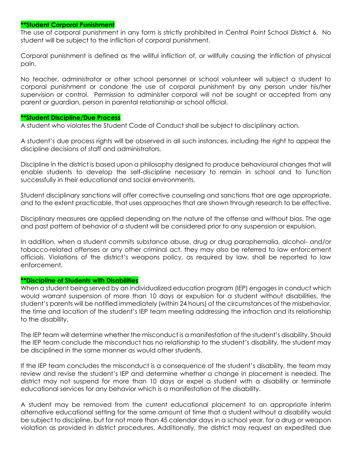#### **\*\*Student Corporal Punishment**

The use of corporal punishment in any form is strictly prohibited in Central Point School District 6. No student will be subject to the infliction of corporal punishment.

Corporal punishment is defined as the willful infliction of, or willfully causing the infliction of physical pain.

No teacher, administrator or other school personnel or school volunteer will subject a student to corporal punishment or condone the use of corporal punishment by any person under his/her supervision or control. Permission to administer corporal will not be sought or accepted from any parent or guardian, person in parental relationship or school official.

#### **\*\*Student Discipline/Due Process**

A student who violates the Student Code of Conduct shall be subject to disciplinary action.

A student's due process rights will be observed in all such instances, including the right to appeal the discipline decisions of staff and administrators.

Discipline in the district is based upon a philosophy designed to produce behavioural changes that will enable students to develop the self-discipline necessary to remain in school and to function successfully in their educational and social environments.

Student disciplinary sanctions will offer corrective counseling and sanctions that are age appropriate, and to the extent practicable, that uses approaches that are shown through research to be effective.

Disciplinary measures are applied depending on the nature of the offense and without bias. The age and past pattern of behavior of a student will be considered prior to any suspension or expulsion.

In addition, when a student commits substance abuse, drug or drug paraphernalia, alcohol- and/or tobacco-related offenses or any other criminal act, they may also be referred to law enforcement officials. Violations of the district's weapons policy, as required by law, shall be reported to law enforcement.

#### **\*\*Discipline of Students with Disabilities**

When a student being served by an individualized education program (IEP) engages in conduct which would warrant suspension of more than 10 days or expulsion for a student without disabilities, the student's parents will be notified immediately (within 24 hours) of the circumstances of the misbehavior, the time and location of the student's IEP team meeting addressing the infraction and its relationship to the disability.

The IEP team will determine whether the misconduct is a manifestation of the student's disability. Should the IEP team conclude the misconduct has no relationship to the student's disability, the student may be disciplined in the same manner as would other students.

If the IEP team concludes the misconduct is a consequence of the student's disability, the team may review and revise the student's IEP and determine whether a change in placement is needed. The district may not suspend for more than 10 days or expel a student with a disability or terminate educational services for any behavior which is a manifestation of the disability.

A student may be removed from the current educational placement to an appropriate interim alternative educational setting for the same amount of time that a student without a disability would be subject to discipline, but for not more than 45 calendar days in a school year, for a drug or weapon violation as provided in district procedures. Additionally, the district may request an expedited due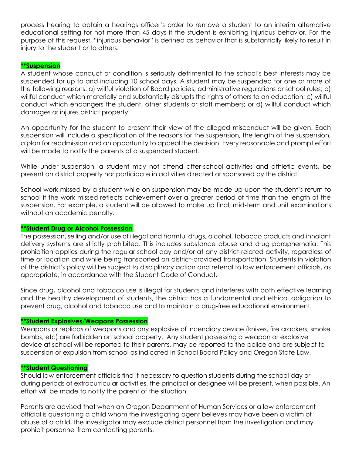process hearing to obtain a hearings officer's order to remove a student to an interim alternative educational setting for not more than 45 days if the student is exhibiting injurious behavior. For the purpose of this request, "injurious behavior" is defined as behavior that is substantially likely to result in injury to the student or to others.

## **\*\*Suspension**

A student whose conduct or condition is seriously detrimental to the school's best interests may be suspended for up to and including 10 school days. A student may be suspended for one or more of the following reasons: a) willful violation of Board policies, administrative regulations or school rules; b) willful conduct which materially and substantially disrupts the rights of others to an education; c) willful conduct which endangers the student, other students or staff members; or d) willful conduct which damages or injures district property.

An opportunity for the student to present their view of the alleged misconduct will be given. Each suspension will include a specification of the reasons for the suspension, the length of the suspension, a plan for readmission and an opportunity to appeal the decision. Every reasonable and prompt effort will be made to notify the parents of a suspended student.

While under suspension, a student may not attend after-school activities and athletic events, be present on district property nor participate in activities directed or sponsored by the district.

School work missed by a student while on suspension may be made up upon the student's return to school if the work missed reflects achievement over a greater period of time than the length of the suspension. For example, a student will be allowed to make up final, mid-term and unit examinations without an academic penalty.

#### **\*\*Student Drug or Alcohol Possession**

The possession, selling and/or use of illegal and harmful drugs, alcohol, tobacco products and inhalant delivery systems are strictly prohibited. This includes substance abuse and drug paraphernalia. This prohibition applies during the regular school day and/or at any district-related activity, regardless of time or location and while being transported on district-provided transportation. Students in violation of the district's policy will be subject to disciplinary action and referral to law enforcement officials, as appropriate, in accordance with the Student Code of Conduct.

Since drug, alcohol and tobacco use is illegal for students and interferes with both effective learning and the healthy development of students, the district has a fundamental and ethical obligation to prevent drug, alcohol and tobacco use and to maintain a drug-free educational environment.

#### **\*\*Student Explosives/Weapons Possession**

Weapons or replicas of weapons and any explosive of incendiary device (knives, fire crackers, smoke bombs, etc) are forbidden on school property. Any student possessing a weapon or explosive device at school will be reported to their parents, may be reported to the police and are subject to suspension or expulsion from school as indicated in School Board Policy and Oregon State Law.

#### **\*\*Student Questioning**

Should law enforcement officials find it necessary to question students during the school day or during periods of extracurricular activities, the principal or designee will be present, when possible. An effort will be made to notify the parent of the situation.

Parents are advised that when an Oregon Department of Human Services or a law enforcement official is questioning a child whom the investigating agent believes may have been a victim of abuse of a child, the investigator may exclude district personnel from the investigation and may prohibit personnel from contacting parents.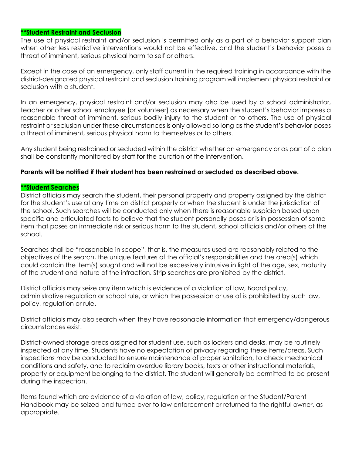#### **\*\*Student Restraint and Seclusion**

The use of physical restraint and/or seclusion is permitted only as a part of a behavior support plan when other less restrictive interventions would not be effective, and the student's behavior poses a threat of imminent, serious physical harm to self or others.

Except in the case of an emergency, only staff current in the required training in accordance with the district-designated physical restraint and seclusion training program will implement physical restraint or seclusion with a student.

In an emergency, physical restraint and/or seclusion may also be used by a school administrator, teacher or other school employee [or volunteer] as necessary when the student's behavior imposes a reasonable threat of imminent, serious bodily injury to the student or to others. The use of physical restraint or seclusion under these circumstances is only allowed so long as the student's behavior poses a threat of imminent, serious physical harm to themselves or to others.

Any student being restrained or secluded within the district whether an emergency or as part of a plan shall be constantly monitored by staff for the duration of the intervention.

#### **Parents will be notified if their student has been restrained or secluded as described above.**

#### **\*\*Student Searches**

District officials may search the student, their personal property and property assigned by the district for the student's use at any time on district property or when the student is under the jurisdiction of the school. Such searches will be conducted only when there is reasonable suspicion based upon specific and articulated facts to believe that the student personally poses or is in possession of some item that poses an immediate risk or serious harm to the student, school officials and/or others at the school.

Searches shall be "reasonable in scope", that is, the measures used are reasonably related to the objectives of the search, the unique features of the official's responsibilities and the area(s) which could contain the item(s) sought and will not be excessively intrusive in light of the age, sex, maturity of the student and nature of the infraction. Strip searches are prohibited by the district.

District officials may seize any item which is evidence of a violation of law, Board policy, administrative regulation or school rule, or which the possession or use of is prohibited by such law, policy, regulation or rule.

District officials may also search when they have reasonable information that emergency/dangerous circumstances exist.

District-owned storage areas assigned for student use, such as lockers and desks, may be routinely inspected at any time. Students have no expectation of privacy regarding these items/areas. Such inspections may be conducted to ensure maintenance of proper sanitation, to check mechanical conditions and safety, and to reclaim overdue library books, texts or other instructional materials, property or equipment belonging to the district. The student will generally be permitted to be present during the inspection.

Items found which are evidence of a violation of law, policy, regulation or the Student/Parent Handbook may be seized and turned over to law enforcement or returned to the rightful owner, as appropriate.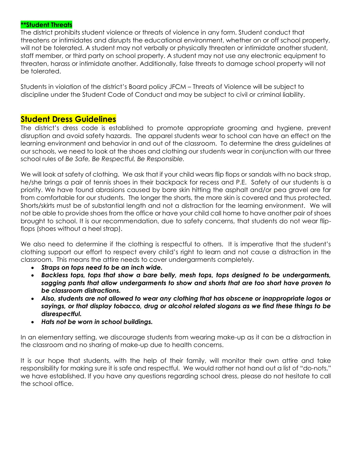#### **\*\*Student Threats**

The district prohibits student violence or threats of violence in any form. Student conduct that threatens or intimidates and disrupts the educational environment, whether on or off school property, will not be tolerated. A student may not verbally or physically threaten or intimidate another student, staff member, or third party on school property. A student may not use any electronic equipment to threaten, harass or intimidate another. Additionally, false threats to damage school property will not be tolerated.

Students in violation of the district's Board policy JFCM – Threats of Violence will be subject to discipline under the Student Code of Conduct and may be subject to civil or criminal liability.

# **Student Dress Guidelines**

The district's dress code is established to promote appropriate grooming and hygiene, prevent disruption and avoid safety hazards. The apparel students wear to school can have an effect on the learning environment and behavior in and out of the classroom. To determine the dress guidelines at our schools, we need to look at the shoes and clothing our students wear in conjunction with our three school rules of *Be Safe, Be Respectful, Be Responsible.*

We will look at safety of clothing. We ask that if your child wears flip flops or sandals with no back strap, he/she brings a pair of tennis shoes in their backpack for recess and P.E. Safety of our students is a priority. We have found abrasions caused by bare skin hitting the asphalt and/or pea gravel are far from comfortable for our students. The longer the shorts, the more skin is covered and thus protected. Shorts/skirts must be of substantial length and not a distraction for the learning environment. We will not be able to provide shoes from the office or have your child call home to have another pair of shoes brought to school. It is our recommendation, due to safety concerns, that students do not wear flipflops (shoes without a heel strap).

We also need to determine if the clothing is respectful to others. It is imperative that the student's clothing support our effort to respect every child's right to learn and not cause a distraction in the classroom. This means the attire needs to cover undergarments completely.

- *Straps on tops need to be an inch wide.*
- *Backless tops, tops that show a bare belly, mesh tops, tops designed to be undergarments, sagging pants that allow undergarments to show and shorts that are too short have proven to be classroom distractions.*
- *Also, students are not allowed to wear any clothing that has obscene or inappropriate logos or sayings, or that display tobacco, drug or alcohol related slogans as we find these things to be disrespectful.*
- *Hats not be worn in school buildings.*

In an elementary setting, we discourage students from wearing make-up as it can be a distraction in the classroom and no sharing of make-up due to health concerns.

It is our hope that students, with the help of their family, will monitor their own attire and take responsibility for making sure it is safe and respectful. We would rather not hand out a list of "do-nots," we have established. If you have any questions regarding school dress, please do not hesitate to call the school office.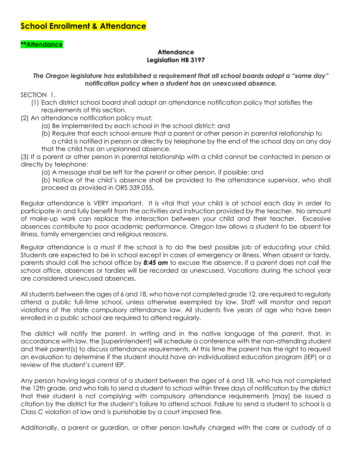## **\*\*Attendance**

#### **Attendance Legislation HB 3197**

*The Oregon legislature has established a requirement that all school boards adopt a "same day" notification policy when a student has an unexcused absence.*

SECTION 1.

- (1) Each district school board shall adopt an attendance notification policy that satisfies the requirements of this section.
- (2) An attendance notification policy must:
	- (a) Be implemented by each school in the school district; and
	- (b) Require that each school ensure that a parent or other person in parental relationship to a child is notified in person or directly by telephone by the end of the school day on any day that the child has an unplanned absence.

(3) If a parent or other person in parental relationship with a child cannot be contacted in person or directly by telephone:

- (a) A message shall be left for the parent or other person, if possible; and
- (b) Notice of the child's absence shall be provided to the attendance supervisor, who shall proceed as provided in ORS 339.055**.**

Regular attendance is VERY important. It is vital that your child is at school each day in order to participate in and fully benefit from the activities and instruction provided by the teacher. No amount of make-up work can replace the interaction between your child and their teacher. Excessive absences contribute to poor academic performance. Oregon law allows a student to be absent for illness, family emergencies and religious reasons.

Regular attendance is a must if the school is to do the best possible job of educating your child. Students are expected to be in school except in cases of emergency or illness. When absent or tardy, parents should call the school office by *8:45 am* to excuse the absence. If a parent does not call the school office, absences or tardies will be recorded as unexcused. Vacations during the school year are considered unexcused absences.

All students between the ages of 6 and 18, who have not completed grade 12, are required to regularly attend a public full-time school, unless otherwise exempted by law. Staff will monitor and report violations of the state compulsory attendance law. All students five years of age who have been enrolled in a public school are required to attend regularly.

The district will notify the parent, in writing and in the native language of the parent, that, in accordance with law, the [superintendent] will schedule a conference with the non-attending student and their parent(s) to discuss attendance requirements. At this time the parent has the right to request an evaluation to determine if the student should have an individualized education program (IEP) or a review of the student's current IEP.

Any person having legal control of a student between the ages of 6 and 18, who has not completed the 12th grade, and who fails to send a student to school within three days of notification by the district that their student is not complying with compulsory attendance requirements [may] be issued a citation by the district for the student's failure to attend school. Failure to send a student to school is a Class C violation of law and is punishable by a court imposed fine.

Additionally, a parent or guardian, or other person lawfully charged with the care or custody of a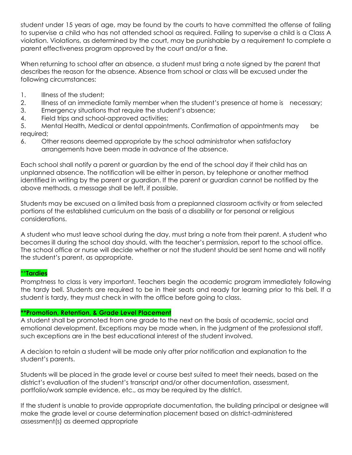student under 15 years of age, may be found by the courts to have committed the offense of failing to supervise a child who has not attended school as required. Failing to supervise a child is a Class A violation. Violations, as determined by the court, may be punishable by a requirement to complete a parent effectiveness program approved by the court and/or a fine.

When returning to school after an absence, a student must bring a note signed by the parent that describes the reason for the absence. Absence from school or class will be excused under the following circumstances:

- 1. Illness of the student;
- 2. Illness of an immediate family member when the student's presence at home is necessary;
- 3. Emergency situations that require the student's absence;
- 4. Field trips and school-approved activities;

5. Mental Health, Medical or dental appointments. Confirmation of appointments may be required;

6. Other reasons deemed appropriate by the school administrator when satisfactory arrangements have been made in advance of the absence.

Each school shall notify a parent or guardian by the end of the school day if their child has an unplanned absence. The notification will be either in person, by telephone or another method identified in writing by the parent or guardian. If the parent or guardian cannot be notified by the above methods, a message shall be left, if possible.

Students may be excused on a limited basis from a preplanned classroom activity or from selected portions of the established curriculum on the basis of a disability or for personal or religious considerations.

A student who must leave school during the day, must bring a note from their parent. A student who becomes ill during the school day should, with the teacher's permission, report to the school office. The school office or nurse will decide whether or not the student should be sent home and will notify the student's parent, as appropriate.

## \*\***Tardies**

Promptness to class is very important. Teachers begin the academic program immediately following the tardy bell. Students are required to be in their seats and ready for learning prior to this bell. If a student is tardy, they must check in with the office before going to class.

## **\*\*Promotion, Retention, & Grade Level Placement**

A student shall be promoted from one grade to the next on the basis of academic, social and emotional development. Exceptions may be made when, in the judgment of the professional staff, such exceptions are in the best educational interest of the student involved.

A decision to retain a student will be made only after prior notification and explanation to the student's parents.

Students will be placed in the grade level or course best suited to meet their needs, based on the district's evaluation of the student's transcript and/or other documentation, assessment, portfolio/work sample evidence, etc., as may be required by the district.

If the student is unable to provide appropriate documentation, the building principal or designee will make the grade level or course determination placement based on district-administered assessment(s) as deemed appropriate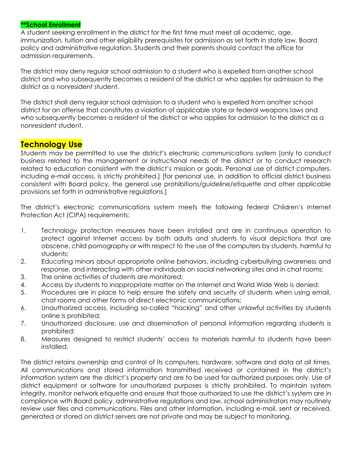#### **\*\*School Enrollment**

A student seeking enrollment in the district for the first time must meet all academic, age, immunization, tuition and other eligibility prerequisites for admission as set forth in state law, Board policy and administrative regulation. Students and their parents should contact the office for admission requirements.

The district may deny regular school admission to a student who is expelled from another school district and who subsequently becomes a resident of the district or who applies for admission to the district as a nonresident student.

The district shall deny regular school admission to a student who is expelled from another school district for an offense that constitutes a violation of applicable state or federal weapons laws and who subsequently becomes a resident of the district or who applies for admission to the district as a nonresident student.

# **Technology Use**

Students may be permitted to use the district's electronic communications system [only to conduct business related to the management or instructional needs of the district or to conduct research related to education consistent with the district's mission or goals. Personal use of district computers, including e-mail access, is strictly prohibited.] [for personal use, in addition to official district business consistent with Board policy, the general use prohibitions/guideline/etiquette and other applicable provisions set forth in administrative regulations.]

The district's electronic communications system meets the following federal Children's Internet Protection Act (CIPA) requirements:

- 1. Technology protection measures have been installed and are in continuous operation to protect against Internet access by both adults and students to visual depictions that are obscene, child pornography or with respect to the use of the computers by students, harmful to students;
- 2. Educating minors about appropriate online behaviors, including cyberbullying awareness and response, and interacting with other individuals on social networking sites and in chat rooms;
- 3. The online activities of students are monitored;
- 4. Access by students to inappropriate matter on the Internet and World Wide Web is denied;
- 5. Procedures are in place to help ensure the safety and security of students when using email, chat rooms and other forms of direct electronic communications;
- 6. Unauthorized access, including so-called "hacking" and other unlawful activities by students online is prohibited;
- 7. Unauthorized disclosure, use and dissemination of personal information regarding students is prohibited;
- 8. Measures designed to restrict students' access to materials harmful to students have been installed.

The district retains ownership and control of its computers, hardware, software and data at all times. All communications and stored information transmitted received or contained in the district's information system are the district's property and are to be used for authorized purposes only. Use of district equipment or software for unauthorized purposes is strictly prohibited. To maintain system integrity, monitor network etiquette and ensure that those authorized to use the district's system are in compliance with Board policy, administrative regulations and law, school administrators may routinely review user files and communications. Files and other information, including e-mail, sent or received, generated or stored on district servers are not private and may be subject to monitoring.